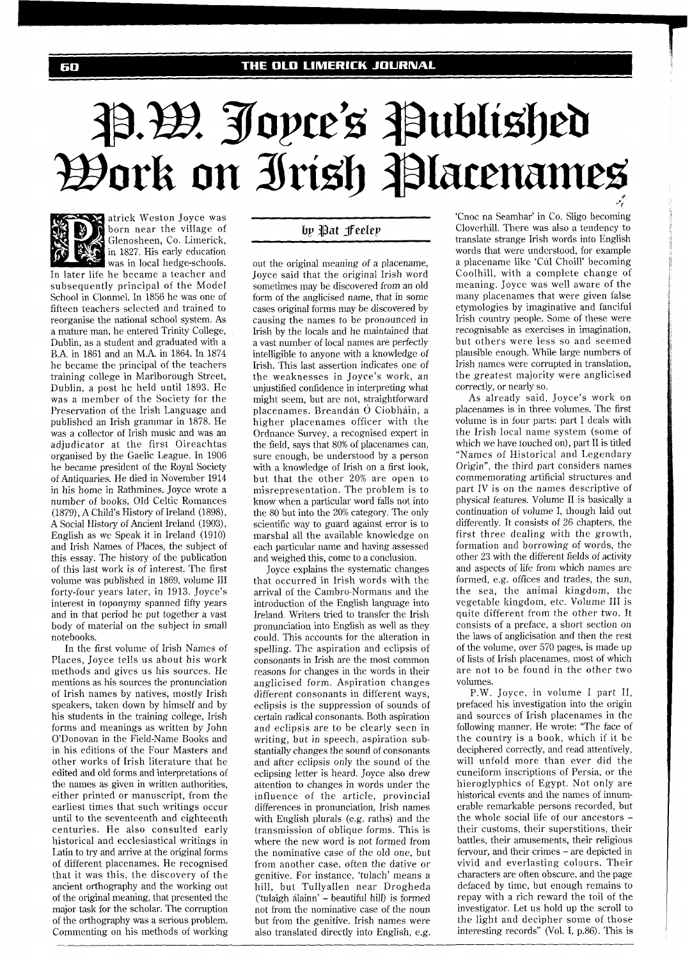## P.H. Jopce's Published *Work on Irish Placenames*



atrick Weston Joyce was born near the village of Glenosheen, Co. Limerick, in 1827. His early education was in local hedge-schools.

In later life he became a teacher and subsequently principal of the Model School in Clonmel. In 1856 he was one of fifteen teachers selected and trained to reorganise the national school system. As a mature man, he entered Trinity College, Dublin, as a student and graduated with a B.A. in 1861 and an M.A. in 1864. In 1874 he became the principal of the teachers training college in Marlborough Street, Dublin, a post he held until 1893. He was a member of the Society for the Preservation of the Irish Language and published an Irish grammar in 1878. He was a collector of Irish music and was an adjudicator at the first Oireachtas organised by the Gaelic League. In 1906 he became president of the Royal Society of Antiquaries. He died in November 1914 in his home in Rathmines. Joyce wrote a number of books, Old Celtic Romances (1879), A Child's History of Ireland (1898), A Social History of Ancient Ireland (1903), English as wc Speak it in Ireland (1910) and Irish Names of Places, the subject of this essay. The history of the publication of this last work is of interest. The first volume was published in 1869, volume 111 forty-four years later, in 1913. Joyce's interest in toponymy spanned fifty years and in that period he put together a vast body of material on the subject in small notebooks.

In the first volume of Irish Names of Places, Joyce tells us about his work methods and gives us his sources. He mentions as his sources the pronunciation of Irish names by natives, mostly Irish speakers, taken down by himself and by his students in the training college, Irish forms and meanings as written by John O'Donovan in the Field-Name Books and in his editions of the Four Masters and other works of Irish literature that he edited and old forms and interpretations of the names as given in written authorities, either printed or manuscript, from the earliest times that such writings occur until to the seventeenth and eighteenth centuries. He also consulted early historical and ecclesiastical writings in Latin to try and arrive at the original forms of different placenames. He recognised that it was this, the discovery of the ancient orthography and the working out of the original meaning, that presented the major task for the scholar. The corruption of the orthography was a serious problem. Commenting on his methods of working

## by Pat Feeley

out the original meaning of a placename, Joyce said that the original Irish word sometimes may be discovered from an old form of the anglicised name, that in some cases original forms may be discovered by causing the names to be pronounced in Irish by the locals and he maintained that a vast number of local names are perfectly intelligible to anyone with a knowledge of Irish. This last assertion indicates one of the weaknesses in Joyce's work, an unjustified confidence in interpreting what might seem, but are not, straightforward placenames. Breandán Ó Ciobháin, a higher placenames officer with the Ordnance Survey, a recognised expert in the field, says that 80% of placenames can, sure enough, be understood by a person with a knowledge of Irish on a first look, but that the other 20% are open to misrepresentation. The problem is to know when a particular word falls not into the 80 but into the 20% category. The only scientific way to guard against error is to marshal all the available knowledge on each particular name and having assessed and weighed this, come to a conclusion.

Joyce explains the systematic changes that occurred in Irish words with the arrival of the Cambro-Normans and the introduction of the English language into Ireland. Writers tried to transfer the Irish pronunciation into English as well as they could. This accounts for the alteration in spelling. The aspiration and eclipsis of consonants in Irish are the most common reasons for changes in the words in their anglicised form. Aspiration changes different consonants in different ways, eclipsis is the suppression of sounds of certain radical consonants. Both aspiration and eclipsis are to be clearly seen in writing, but in speech, aspiration substantially changes the sound of consonants and after eclipsis only the sound of the eclipsing letter is heard. Joyce also drew attention to changes in words under the influence of the article, provincial differences in pronunciation, Irish names with English plurals (e.g. raths) and the transmission of oblique forms. This is where the new word is not formed from the nominative case of the old one, but from another case, often the dative or genitive. For instance, 'tulach' means a hill, but Tullyallen near Drogheda ('tulaigh alainn' - beautiful hill) is formed not from the nominative case of the noun but from the genitive. Irish names were also translated directly into English, e.g.

'Cnoc na Seamhar' in Co. Sligo becoming Cloverhill. There was also a tendency to translate strange Irish words into English words that were understood, for example a placename like 'Cúl Choill' becoming Coolhill, with a complete change of meaning. Joyce was well aware of the many placenames that were given false etymologies by imaginative and fanciful Irish country people. Some of these were recognisable as exercises in imagination, but others were less so and seemed plausible enough. While large numbers of Irish names were corrupted in translation, the greatest majority were anglicised correctly, or nearly so.

As already said, Joyce's work on placenames is in three volumes. The first volume is in four parts: part I deals with the Irish local name system (some of which we have touched on), part I1 is titled "Names of Historical and Legendary Origin", the third part considers names commemorating artificial structures and part IV is on the names descriptive of physical features. Volume I1 is basically a continuation of volume I, though laid out differently. It consists of 26 chapters, the first three dealing with the growth, formation and borrowing of words, the other 23 with the different fields of activity and aspects of life from which names are formed, e.g. offices and trades, the sun, the sea, the animal kingdom, the vegetable kingdom, etc. Volume I11 is quite different from the other two. It consists of a preface, a short section on the laws of anglicisation and then the rest of the volume, over 570 pages, is made up of lists of Irish placenames, most of which are not to be found in the other two volumes.

P.W. Joyce, in volume I part 11, prefaced his investigation into the origin and sources of Irish placenames in the following manner. He wrote: "The face of the country is a book, which if it be deciphered correctly, and read attentively, will unfold more than ever did the cuneiform inscriptions of Persia, or the hieroglyphics of Egypt. Not only are historical events and the names of innumerable remarkable persons recorded, but the whole social life of our ancestors their customs, their superstitions, their battles, their amusements, their religious fervour, and their crimes - are depicted in vivid and everlasting colours. Their characters are often obscure, and the page defaced by time, but enough remains to repay with a rich reward the toil of the investigator. Let us hold up the scroll to the light and decipher some of those interesting records" (Vol. I, p.86). This is